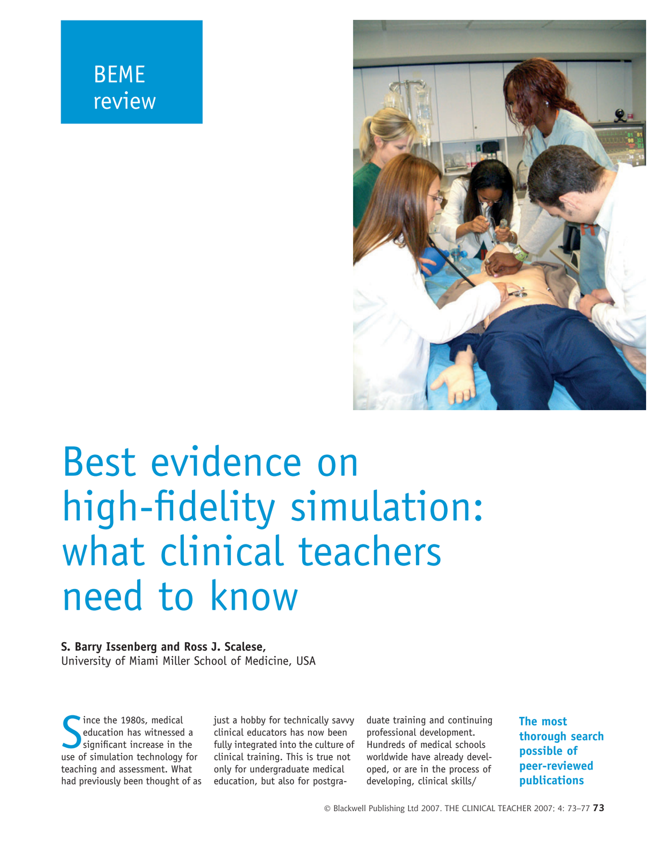



# Best evidence on high-fidelity simulation: what clinical teachers need to know

## S. Barry Issenberg and Ross J. Scalese,

University of Miami Miller School of Medicine, USA

Since the 1980s, medical<br>
significant increase in the<br>
use of simulation technology for ince the 1980s, medical education has witnessed a significant increase in the teaching and assessment. What had previously been thought of as

just a hobby for technically savvy clinical educators has now been fully integrated into the culture of clinical training. This is true not only for undergraduate medical education, but also for postgraduate training and continuing professional development. Hundreds of medical schools worldwide have already developed, or are in the process of developing, clinical skills/

The most thorough search possible of peer-reviewed publications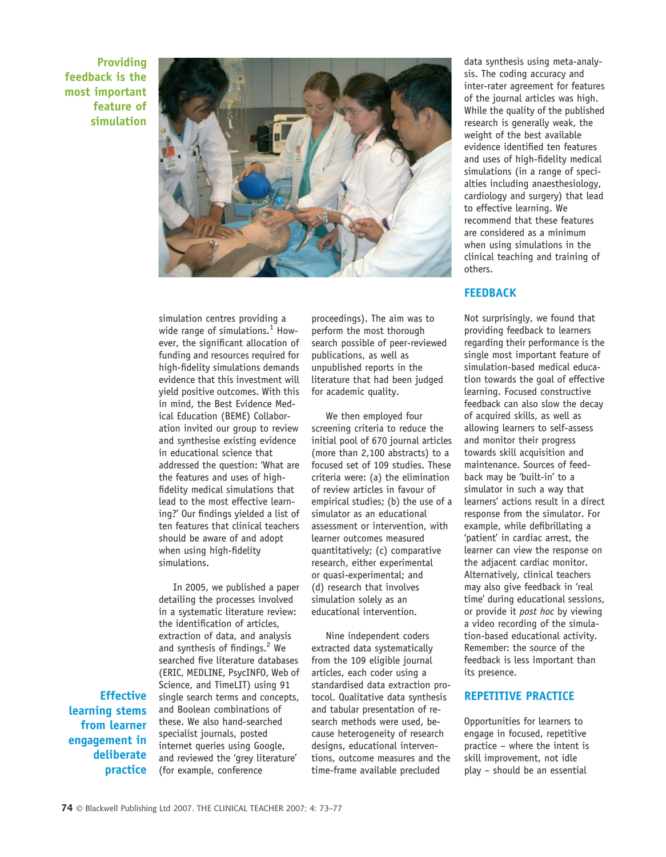Providing feedback is the most important feature of simulation



simulation centres providing a wide range of simulations. $<sup>1</sup>$  How-</sup> ever, the significant allocation of funding and resources required for high-fidelity simulations demands evidence that this investment will yield positive outcomes. With this in mind, the Best Evidence Medical Education (BEME) Collaboration invited our group to review and synthesise existing evidence in educational science that addressed the question: 'What are the features and uses of highfidelity medical simulations that lead to the most effective learning?' Our findings yielded a list of ten features that clinical teachers should be aware of and adopt when using high-fidelity simulations.

In 2005, we published a paper detailing the processes involved in a systematic literature review: the identification of articles, extraction of data, and analysis and synthesis of findings.<sup>2</sup> We searched five literature databases (ERIC, MEDLINE, PsycINFO, Web of Science, and TimeLIT) using 91 single search terms and concepts, and Boolean combinations of these. We also hand-searched specialist journals, posted internet queries using Google, and reviewed the 'grey literature' (for example, conference

proceedings). The aim was to perform the most thorough search possible of peer-reviewed publications, as well as unpublished reports in the literature that had been judged for academic quality.

We then employed four screening criteria to reduce the initial pool of 670 journal articles (more than 2,100 abstracts) to a focused set of 109 studies. These criteria were: (a) the elimination of review articles in favour of empirical studies; (b) the use of a simulator as an educational assessment or intervention, with learner outcomes measured quantitatively; (c) comparative research, either experimental or quasi-experimental; and (d) research that involves simulation solely as an educational intervention.

Nine independent coders extracted data systematically from the 109 eligible journal articles, each coder using a standardised data extraction protocol. Qualitative data synthesis and tabular presentation of research methods were used, because heterogeneity of research designs, educational interventions, outcome measures and the time-frame available precluded

data synthesis using meta-analysis. The coding accuracy and inter-rater agreement for features of the journal articles was high. While the quality of the published research is generally weak, the weight of the best available evidence identified ten features and uses of high-fidelity medical simulations (in a range of specialties including anaesthesiology, cardiology and surgery) that lead to effective learning. We recommend that these features are considered as a minimum when using simulations in the clinical teaching and training of others.

## **FEEDBACK**

Not surprisingly, we found that providing feedback to learners regarding their performance is the single most important feature of simulation-based medical education towards the goal of effective learning. Focused constructive feedback can also slow the decay of acquired skills, as well as allowing learners to self-assess and monitor their progress towards skill acquisition and maintenance. Sources of feedback may be 'built-in' to a simulator in such a way that learners' actions result in a direct response from the simulator. For example, while defibrillating a 'patient' in cardiac arrest, the learner can view the response on the adjacent cardiac monitor. Alternatively, clinical teachers may also give feedback in 'real time' during educational sessions, or provide it *post hoc* by viewing a video recording of the simulation-based educational activity. Remember: the source of the feedback is less important than its presence.

# REPETITIVE PRACTICE

Opportunities for learners to engage in focused, repetitive practice – where the intent is skill improvement, not idle play – should be an essential

**Effective** learning stems from learner engagement in deliberate practice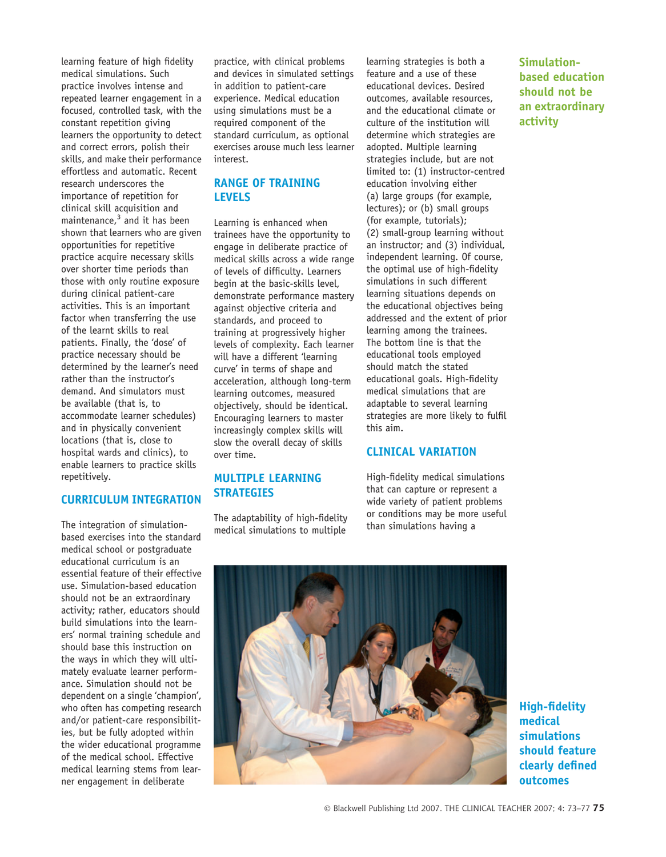learning feature of high fidelity medical simulations. Such practice involves intense and repeated learner engagement in a focused, controlled task, with the constant repetition giving learners the opportunity to detect and correct errors, polish their skills, and make their performance effortless and automatic. Recent research underscores the importance of repetition for clinical skill acquisition and maintenance, $3$  and it has been shown that learners who are given opportunities for repetitive practice acquire necessary skills over shorter time periods than those with only routine exposure during clinical patient-care activities. This is an important factor when transferring the use of the learnt skills to real patients. Finally, the 'dose' of practice necessary should be determined by the learner's need rather than the instructor's demand. And simulators must be available (that is, to accommodate learner schedules) and in physically convenient locations (that is, close to hospital wards and clinics), to enable learners to practice skills repetitively.

# CURRICULUM INTEGRATION

The integration of simulationbased exercises into the standard medical school or postgraduate educational curriculum is an essential feature of their effective use. Simulation-based education should not be an extraordinary activity; rather, educators should build simulations into the learners' normal training schedule and should base this instruction on the ways in which they will ultimately evaluate learner performance. Simulation should not be dependent on a single 'champion', who often has competing research and/or patient-care responsibilities, but be fully adopted within the wider educational programme of the medical school. Effective medical learning stems from learner engagement in deliberate

practice, with clinical problems and devices in simulated settings in addition to patient-care experience. Medical education using simulations must be a required component of the standard curriculum, as optional exercises arouse much less learner interest.

# RANGE OF TRAINING LEVELS

Learning is enhanced when trainees have the opportunity to engage in deliberate practice of medical skills across a wide range of levels of difficulty. Learners begin at the basic-skills level, demonstrate performance mastery against objective criteria and standards, and proceed to training at progressively higher levels of complexity. Each learner will have a different 'learning curve' in terms of shape and acceleration, although long-term learning outcomes, measured objectively, should be identical. Encouraging learners to master increasingly complex skills will slow the overall decay of skills over time.

# MULTIPLE LEARNING **STRATEGIES**

The adaptability of high-fidelity medical simulations to multiple

learning strategies is both a feature and a use of these educational devices. Desired outcomes, available resources, and the educational climate or culture of the institution will determine which strategies are adopted. Multiple learning strategies include, but are not limited to: (1) instructor-centred education involving either (a) large groups (for example, lectures); or (b) small groups (for example, tutorials); (2) small-group learning without an instructor; and (3) individual, independent learning. Of course, the optimal use of high-fidelity simulations in such different learning situations depends on the educational objectives being addressed and the extent of prior learning among the trainees. The bottom line is that the educational tools employed should match the stated educational goals. High-fidelity medical simulations that are adaptable to several learning strategies are more likely to fulfil this aim.

## CLINICAL VARIATION

High-fidelity medical simulations that can capture or represent a wide variety of patient problems or conditions may be more useful than simulations having a



High-fidelity medical simulations should feature clearly defined outcomes

Simulationbased education should not be an extraordinary activity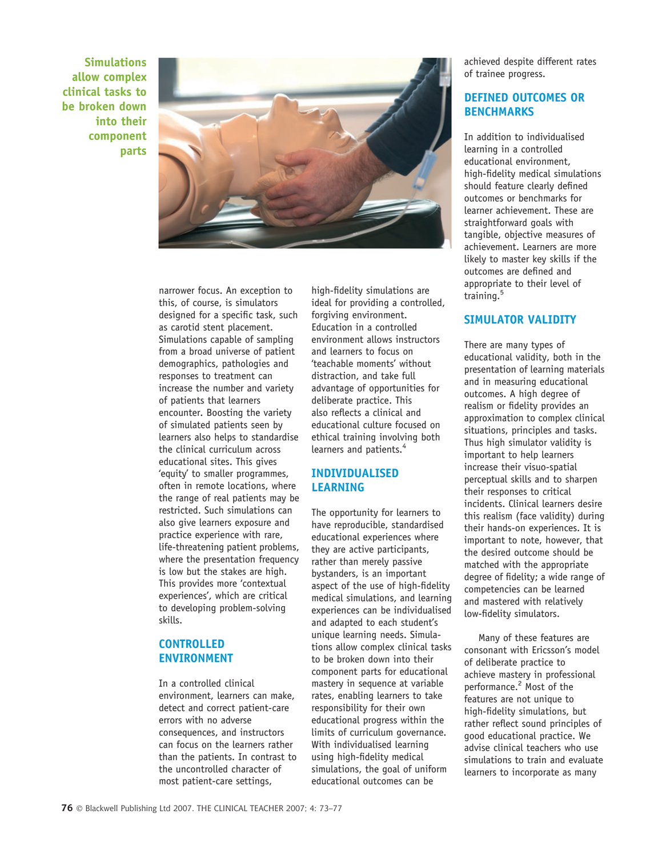Simulations allow complex clinical tasks to be broken down into their component parts



narrower focus. An exception to this, of course, is simulators designed for a specific task, such as carotid stent placement. Simulations capable of sampling from a broad universe of patient demographics, pathologies and responses to treatment can increase the number and variety of patients that learners encounter. Boosting the variety of simulated patients seen by learners also helps to standardise the clinical curriculum across educational sites. This gives 'equity' to smaller programmes, often in remote locations, where the range of real patients may be restricted. Such simulations can also give learners exposure and practice experience with rare, life-threatening patient problems, where the presentation frequency is low but the stakes are high. This provides more 'contextual experiences', which are critical to developing problem-solving skills.

# **CONTROLLED** ENVIRONMENT

In a controlled clinical environment, learners can make, detect and correct patient-care errors with no adverse consequences, and instructors can focus on the learners rather than the patients. In contrast to the uncontrolled character of most patient-care settings,

high-fidelity simulations are ideal for providing a controlled, forgiving environment. Education in a controlled environment allows instructors and learners to focus on 'teachable moments' without distraction, and take full advantage of opportunities for deliberate practice. This also reflects a clinical and educational culture focused on ethical training involving both learners and patients.<sup>4</sup>

# INDIVIDUALISED **LEARNING**

The opportunity for learners to have reproducible, standardised educational experiences where they are active participants, rather than merely passive bystanders, is an important aspect of the use of high-fidelity medical simulations, and learning experiences can be individualised and adapted to each student's unique learning needs. Simulations allow complex clinical tasks to be broken down into their component parts for educational mastery in sequence at variable rates, enabling learners to take responsibility for their own educational progress within the limits of curriculum governance. With individualised learning using high-fidelity medical simulations, the goal of uniform educational outcomes can be

achieved despite different rates of trainee progress.

# DEFINED OUTCOMES OR **BENCHMARKS**

In addition to individualised learning in a controlled educational environment, high-fidelity medical simulations should feature clearly defined outcomes or benchmarks for learner achievement. These are straightforward goals with tangible, objective measures of achievement. Learners are more likely to master key skills if the outcomes are defined and appropriate to their level of training.<sup>5</sup>

# SIMULATOR VALIDITY

There are many types of educational validity, both in the presentation of learning materials and in measuring educational outcomes. A high degree of realism or fidelity provides an approximation to complex clinical situations, principles and tasks. Thus high simulator validity is important to help learners increase their visuo-spatial perceptual skills and to sharpen their responses to critical incidents. Clinical learners desire this realism (face validity) during their hands-on experiences. It is important to note, however, that the desired outcome should be matched with the appropriate degree of fidelity; a wide range of competencies can be learned and mastered with relatively low-fidelity simulators.

Many of these features are consonant with Ericsson's model of deliberate practice to achieve mastery in professional performance.<sup>2</sup> Most of the features are not unique to high-fidelity simulations, but rather reflect sound principles of good educational practice. We advise clinical teachers who use simulations to train and evaluate learners to incorporate as many